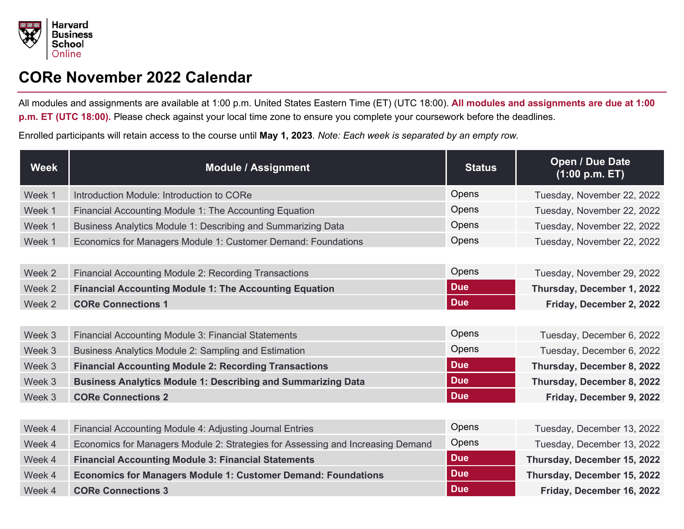

## **CORe November 2022 Calendar**

All modules and assignments are available at 1:00 p.m. United States Eastern Time (ET) (UTC 18:00). **All modules and assignments are due at 1:00 p.m. ET (UTC 18:00).** Please check against your local time zone to ensure you complete your coursework before the deadlines.

Enrolled participants will retain access to the course until **May 1, 2023**. *Note: Each week is separated by an empty row.*

| <b>Week</b> | <b>Module / Assignment</b>                                                      | <b>Status</b> | Open / Due Date<br>(1:00 p.m. E T) |
|-------------|---------------------------------------------------------------------------------|---------------|------------------------------------|
| Week 1      | Introduction Module: Introduction to CORe                                       | Opens         | Tuesday, November 22, 2022         |
| Week 1      | Financial Accounting Module 1: The Accounting Equation                          | Opens         | Tuesday, November 22, 2022         |
| Week 1      | Business Analytics Module 1: Describing and Summarizing Data                    | Opens         | Tuesday, November 22, 2022         |
| Week 1      | Economics for Managers Module 1: Customer Demand: Foundations                   | Opens         | Tuesday, November 22, 2022         |
|             |                                                                                 |               |                                    |
| Week 2      | Financial Accounting Module 2: Recording Transactions                           | Opens         | Tuesday, November 29, 2022         |
| Week 2      | <b>Financial Accounting Module 1: The Accounting Equation</b>                   | <b>Due</b>    | Thursday, December 1, 2022         |
| Week 2      | <b>CORe Connections 1</b>                                                       | <b>Due</b>    | Friday, December 2, 2022           |
|             |                                                                                 |               |                                    |
| Week 3      | <b>Financial Accounting Module 3: Financial Statements</b>                      | Opens         | Tuesday, December 6, 2022          |
| Week 3      | Business Analytics Module 2: Sampling and Estimation                            | Opens         | Tuesday, December 6, 2022          |
| Week 3      | <b>Financial Accounting Module 2: Recording Transactions</b>                    | <b>Due</b>    | Thursday, December 8, 2022         |
| Week 3      | <b>Business Analytics Module 1: Describing and Summarizing Data</b>             | <b>Due</b>    | Thursday, December 8, 2022         |
| Week 3      | <b>CORe Connections 2</b>                                                       | <b>Due</b>    | Friday, December 9, 2022           |
|             |                                                                                 |               |                                    |
| Week 4      | Financial Accounting Module 4: Adjusting Journal Entries                        | Opens         | Tuesday, December 13, 2022         |
| Week 4      | Economics for Managers Module 2: Strategies for Assessing and Increasing Demand | Opens         | Tuesday, December 13, 2022         |
| Week 4      | <b>Financial Accounting Module 3: Financial Statements</b>                      | <b>Due</b>    | Thursday, December 15, 2022        |
| Week 4      | <b>Economics for Managers Module 1: Customer Demand: Foundations</b>            | <b>Due</b>    | Thursday, December 15, 2022        |
| Week 4      | <b>CORe Connections 3</b>                                                       | <b>Due</b>    | Friday, December 16, 2022          |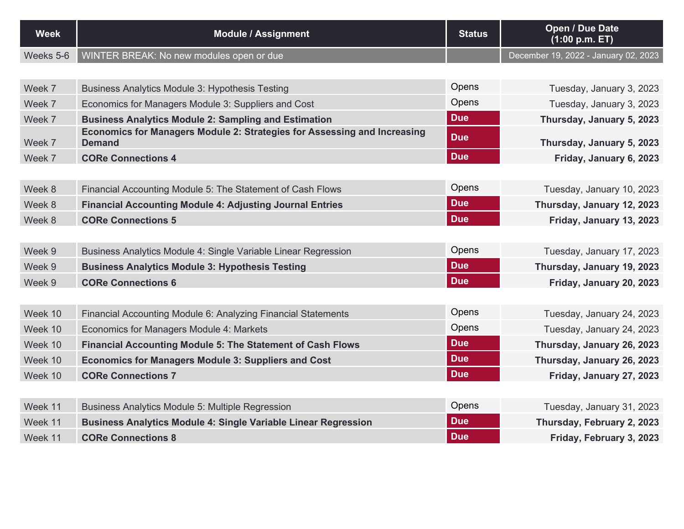| <b>Week</b> | <b>Module / Assignment</b>                                                                | <b>Status</b> | Open / Due Date<br>(1:00 p.m. ET)    |
|-------------|-------------------------------------------------------------------------------------------|---------------|--------------------------------------|
| Weeks 5-6   | WINTER BREAK: No new modules open or due                                                  |               | December 19, 2022 - January 02, 2023 |
|             |                                                                                           |               |                                      |
| Week 7      | <b>Business Analytics Module 3: Hypothesis Testing</b>                                    | Opens         | Tuesday, January 3, 2023             |
| Week 7      | Economics for Managers Module 3: Suppliers and Cost                                       | Opens         | Tuesday, January 3, 2023             |
| Week 7      | <b>Business Analytics Module 2: Sampling and Estimation</b>                               | <b>Due</b>    | Thursday, January 5, 2023            |
| Week 7      | Economics for Managers Module 2: Strategies for Assessing and Increasing<br><b>Demand</b> | <b>Due</b>    | Thursday, January 5, 2023            |
| Week 7      | <b>CORe Connections 4</b>                                                                 | <b>Due</b>    | Friday, January 6, 2023              |
|             |                                                                                           |               |                                      |
| Week 8      | Financial Accounting Module 5: The Statement of Cash Flows                                | Opens         | Tuesday, January 10, 2023            |
| Week 8      | <b>Financial Accounting Module 4: Adjusting Journal Entries</b>                           | <b>Due</b>    | Thursday, January 12, 2023           |
| Week 8      | <b>CORe Connections 5</b>                                                                 | <b>Due</b>    | Friday, January 13, 2023             |
|             |                                                                                           |               |                                      |
| Week 9      | Business Analytics Module 4: Single Variable Linear Regression                            | Opens         | Tuesday, January 17, 2023            |
| Week 9      | <b>Business Analytics Module 3: Hypothesis Testing</b>                                    | <b>Due</b>    | Thursday, January 19, 2023           |
| Week 9      | <b>CORe Connections 6</b>                                                                 | <b>Due</b>    | Friday, January 20, 2023             |
|             |                                                                                           |               |                                      |
| Week 10     | Financial Accounting Module 6: Analyzing Financial Statements                             | Opens         | Tuesday, January 24, 2023            |
| Week 10     | Economics for Managers Module 4: Markets                                                  | Opens         | Tuesday, January 24, 2023            |
| Week 10     | <b>Financial Accounting Module 5: The Statement of Cash Flows</b>                         | <b>Due</b>    | Thursday, January 26, 2023           |
| Week 10     | <b>Economics for Managers Module 3: Suppliers and Cost</b>                                | <b>Due</b>    | Thursday, January 26, 2023           |
| Week 10     | <b>CORe Connections 7</b>                                                                 | <b>Due</b>    | Friday, January 27, 2023             |
|             |                                                                                           |               |                                      |
| Week 11     | <b>Business Analytics Module 5: Multiple Regression</b>                                   | Opens         | Tuesday, January 31, 2023            |
| Week 11     | <b>Business Analytics Module 4: Single Variable Linear Regression</b>                     | <b>Due</b>    | Thursday, February 2, 2023           |
| Week 11     | <b>CORe Connections 8</b>                                                                 | <b>Due</b>    | Friday, February 3, 2023             |